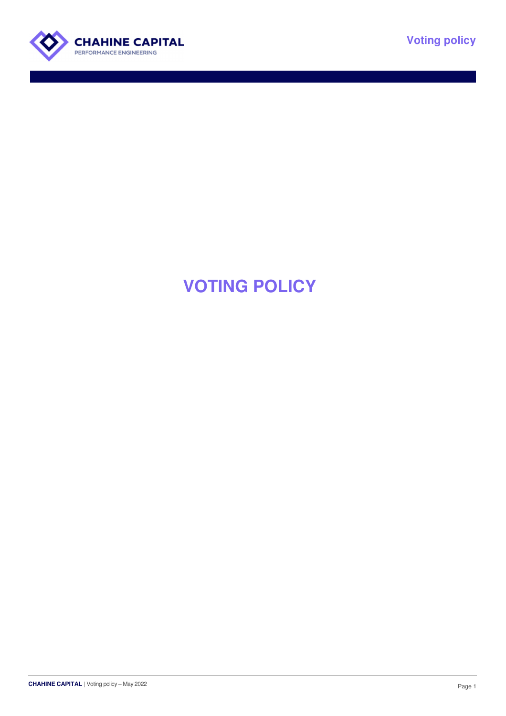



# **VOTING POLICY**

CHAHINE CAPITAL | Voting policy – May 2022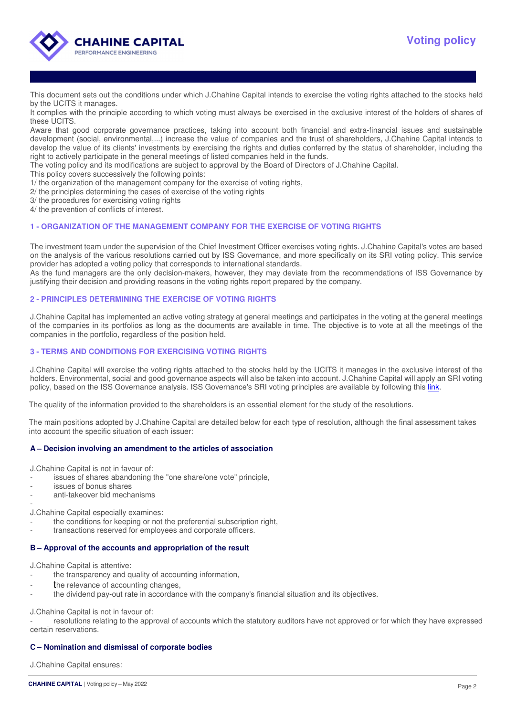

This document sets out the conditions under which J.Chahine Capital intends to exercise the voting rights attached to the stocks held by the UCITS it manages.

It complies with the principle according to which voting must always be exercised in the exclusive interest of the holders of shares of these UCITS.

Aware that good corporate governance practices, taking into account both financial and extra-financial issues and sustainable development (social, environmental,...) increase the value of companies and the trust of shareholders, J.Chahine Capital intends to develop the value of its clients' investments by exercising the rights and duties conferred by the status of shareholder, including the right to actively participate in the general meetings of listed companies held in the funds.

The voting policy and its modifications are subject to approval by the Board of Directors of J.Chahine Capital.

- This policy covers successively the following points:
- 1/ the organization of the management company for the exercise of voting rights,
- 2/ the principles determining the cases of exercise of the voting rights
- 3/ the procedures for exercising voting rights
- 4/ the prevention of conflicts of interest.

## **1 - ORGANIZATION OF THE MANAGEMENT COMPANY FOR THE EXERCISE OF VOTING RIGHTS**

The investment team under the supervision of the Chief Investment Officer exercises voting rights. J.Chahine Capital's votes are based on the analysis of the various resolutions carried out by ISS Governance, and more specifically on its SRI voting policy. This service provider has adopted a voting policy that corresponds to international standards.

As the fund managers are the only decision-makers, however, they may deviate from the recommendations of ISS Governance by justifying their decision and providing reasons in the voting rights report prepared by the company.

## **2 - PRINCIPLES DETERMINING THE EXERCISE OF VOTING RIGHTS**

J.Chahine Capital has implemented an active voting strategy at general meetings and participates in the voting at the general meetings of the companies in its portfolios as long as the documents are available in time. The objective is to vote at all the meetings of the companies in the portfolio, regardless of the position held.

## **3 - TERMS AND CONDITIONS FOR EXERCISING VOTING RIGHTS**

J.Chahine Capital will exercise the voting rights attached to the stocks held by the UCITS it manages in the exclusive interest of the holders. Environmental, social and good governance aspects will also be taken into account. J.Chahine Capital will apply an SRI voting policy, based on the ISS Governance analysis. ISS Governance's SRI voting principles are available by following this link.

The quality of the information provided to the shareholders is an essential element for the study of the resolutions.

The main positions adopted by J.Chahine Capital are detailed below for each type of resolution, although the final assessment takes into account the specific situation of each issuer:

## **A – Decision involving an amendment to the articles of association**

J.Chahine Capital is not in favour of:

- issues of shares abandoning the "one share/one vote" principle,
- issues of bonus shares
- anti-takeover bid mechanisms

- J.Chahine Capital especially examines:

- the conditions for keeping or not the preferential subscription right,
- transactions reserved for employees and corporate officers.

## **B – Approval of the accounts and appropriation of the result**

J.Chahine Capital is attentive:

- the transparency and quality of accounting information,
- the relevance of accounting changes.
- the dividend pay-out rate in accordance with the company's financial situation and its objectives.

J.Chahine Capital is not in favour of:

resolutions relating to the approval of accounts which the statutory auditors have not approved or for which they have expressed certain reservations.

## **C – Nomination and dismissal of corporate bodies**

J.Chahine Capital ensures: